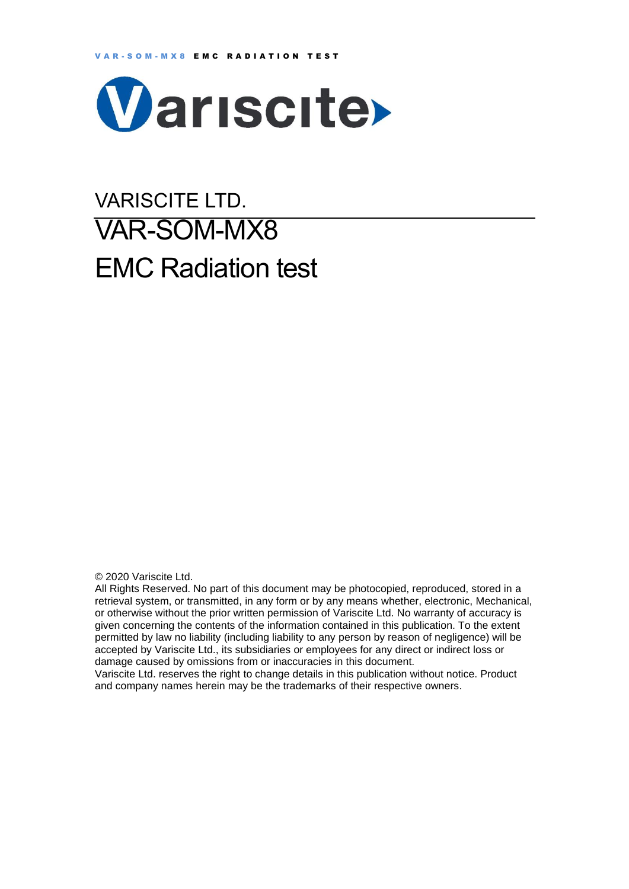

# VARISCITE LTD. VAR-SOM-MX8 EMC Radiation test

© 2020 Variscite Ltd.

All Rights Reserved. No part of this document may be photocopied, reproduced, stored in a retrieval system, or transmitted, in any form or by any means whether, electronic, Mechanical, or otherwise without the prior written permission of Variscite Ltd. No warranty of accuracy is given concerning the contents of the information contained in this publication. To the extent permitted by law no liability (including liability to any person by reason of negligence) will be accepted by Variscite Ltd., its subsidiaries or employees for any direct or indirect loss or damage caused by omissions from or inaccuracies in this document.

Variscite Ltd. reserves the right to change details in this publication without notice. Product and company names herein may be the trademarks of their respective owners.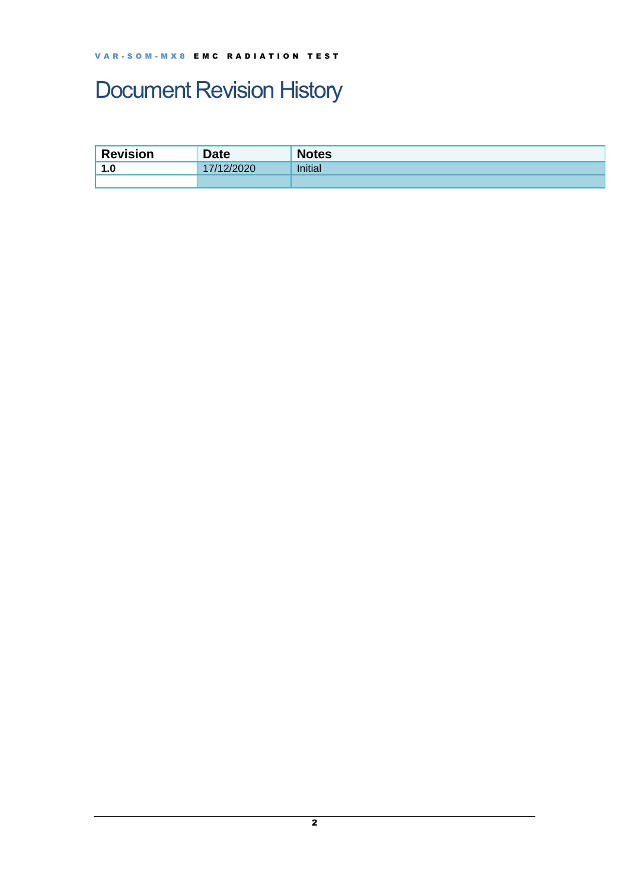## <span id="page-1-0"></span>Document Revision History

| <b>Revision</b>         | <b>Date</b> | <b>Notes</b>   |
|-------------------------|-------------|----------------|
| 1.0<br>$\boldsymbol{A}$ | 1122020     | <b>Initial</b> |
|                         |             |                |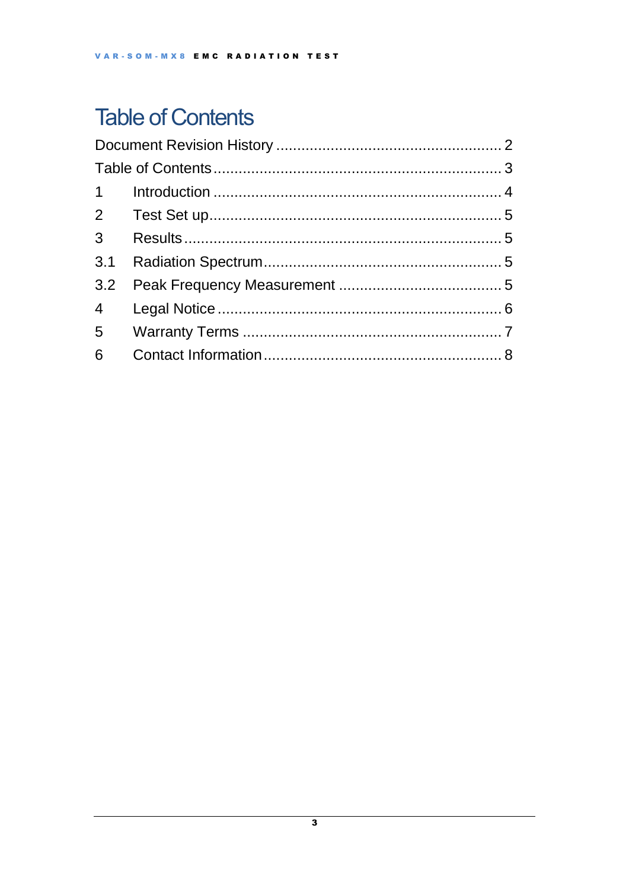## <span id="page-2-0"></span>**Table of Contents**

| 3 <sup>7</sup> |  |  |  |  |
|----------------|--|--|--|--|
| 3.1            |  |  |  |  |
|                |  |  |  |  |
|                |  |  |  |  |
|                |  |  |  |  |
| 6              |  |  |  |  |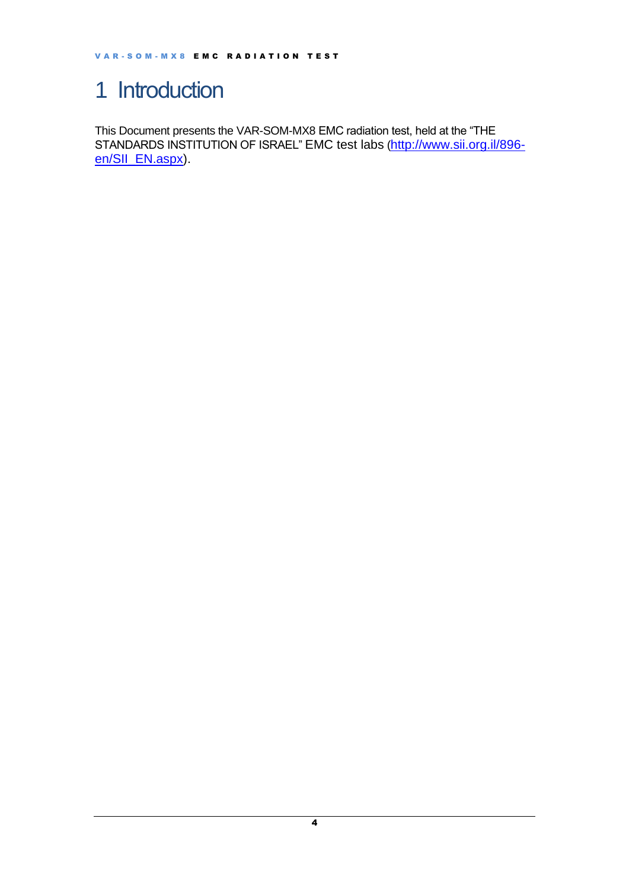### <span id="page-3-0"></span>1 Introduction

This Document presents the VAR-SOM-MX8 EMC radiation test, held at the "THE STANDARDS INSTITUTION OF ISRAEL" EMC test labs ([http://www.sii.org.il/896](http://www.sii.org.il/896-en/SII_EN.aspx) [en/SII\\_EN.aspx\)](http://www.sii.org.il/896-en/SII_EN.aspx).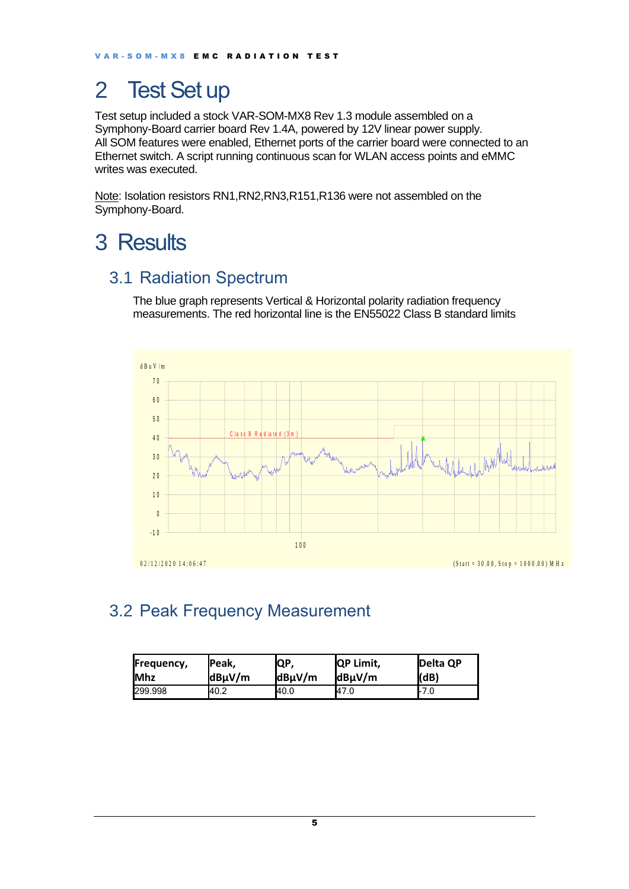## <span id="page-4-0"></span>2 Test Set up

Test setup included a stock VAR-SOM-MX8 Rev 1.3 module assembled on a Symphony-Board carrier board Rev 1.4A, powered by 12V linear power supply. All SOM features were enabled, Ethernet ports of the carrier board were connected to an Ethernet switch. A script running continuous scan for WLAN access points and eMMC writes was executed.

Note: Isolation resistors RN1, RN2, RN3, R151, R136 were not assembled on the Symphony-Board.

### <span id="page-4-1"></span>3 Results

#### <span id="page-4-2"></span>3.1 Radiation Spectrum

The blue graph represents Vertical & Horizontal polarity radiation frequency measurements. The red horizontal line is the EN55022 Class B standard limits



#### <span id="page-4-3"></span>3.2 Peak Frequency Measurement

| Frequency,  | <b>Peak,</b> | IQP,        | <b>IQP Limit.</b> | <b>IDelta OP</b> |
|-------------|--------------|-------------|-------------------|------------------|
| <b>IMhz</b> | $dB\mu V/m$  | $dB\mu V/m$ | $dB\mu V/m$       | (dB)             |
| 299.998     | 40.2         | 40.0        | 47.0              | l-7.0            |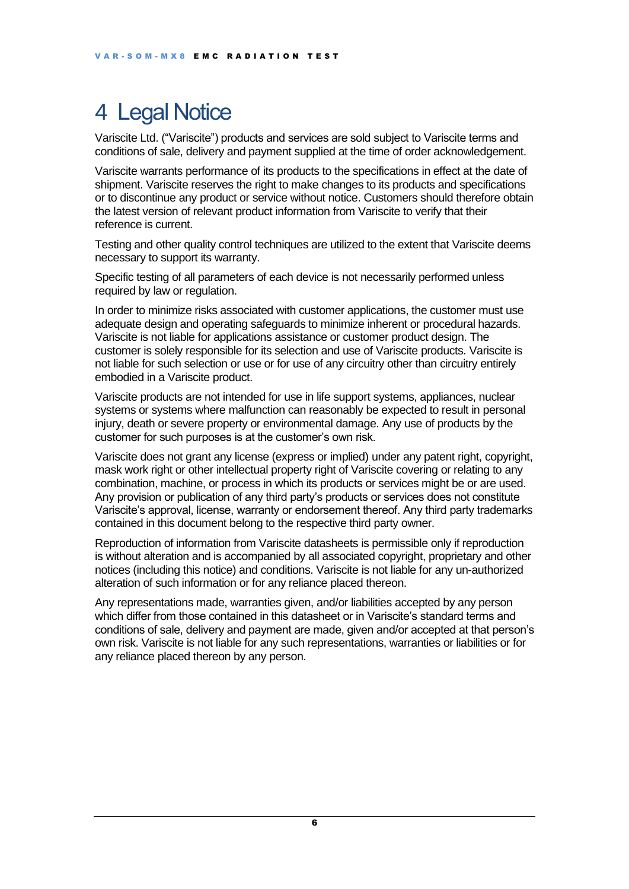## <span id="page-5-0"></span>4 Legal Notice

Variscite Ltd. ("Variscite") products and services are sold subject to Variscite terms and conditions of sale, delivery and payment supplied at the time of order acknowledgement.

Variscite warrants performance of its products to the specifications in effect at the date of shipment. Variscite reserves the right to make changes to its products and specifications or to discontinue any product or service without notice. Customers should therefore obtain the latest version of relevant product information from Variscite to verify that their reference is current.

Testing and other quality control techniques are utilized to the extent that Variscite deems necessary to support its warranty.

Specific testing of all parameters of each device is not necessarily performed unless required by law or regulation.

In order to minimize risks associated with customer applications, the customer must use adequate design and operating safeguards to minimize inherent or procedural hazards. Variscite is not liable for applications assistance or customer product design. The customer is solely responsible for its selection and use of Variscite products. Variscite is not liable for such selection or use or for use of any circuitry other than circuitry entirely embodied in a Variscite product.

Variscite products are not intended for use in life support systems, appliances, nuclear systems or systems where malfunction can reasonably be expected to result in personal injury, death or severe property or environmental damage. Any use of products by the customer for such purposes is at the customer's own risk.

Variscite does not grant any license (express or implied) under any patent right, copyright, mask work right or other intellectual property right of Variscite covering or relating to any combination, machine, or process in which its products or services might be or are used. Any provision or publication of any third party's products or services does not constitute Variscite's approval, license, warranty or endorsement thereof. Any third party trademarks contained in this document belong to the respective third party owner.

Reproduction of information from Variscite datasheets is permissible only if reproduction is without alteration and is accompanied by all associated copyright, proprietary and other notices (including this notice) and conditions. Variscite is not liable for any un-authorized alteration of such information or for any reliance placed thereon.

Any representations made, warranties given, and/or liabilities accepted by any person which differ from those contained in this datasheet or in Variscite's standard terms and conditions of sale, delivery and payment are made, given and/or accepted at that person's own risk. Variscite is not liable for any such representations, warranties or liabilities or for any reliance placed thereon by any person.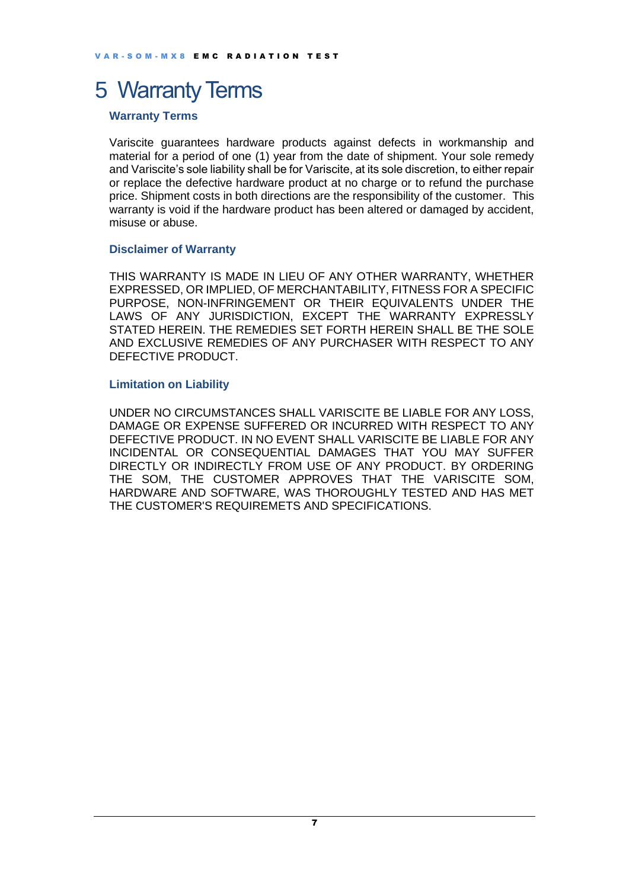### <span id="page-6-0"></span>5 Warranty Terms

#### **Warranty Terms**

Variscite guarantees hardware products against defects in workmanship and material for a period of one (1) year from the date of shipment. Your sole remedy and Variscite's sole liability shall be for Variscite, at its sole discretion, to either repair or replace the defective hardware product at no charge or to refund the purchase price. Shipment costs in both directions are the responsibility of the customer. This warranty is void if the hardware product has been altered or damaged by accident, misuse or abuse.

#### **Disclaimer of Warranty**

THIS WARRANTY IS MADE IN LIEU OF ANY OTHER WARRANTY, WHETHER EXPRESSED, OR IMPLIED, OF MERCHANTABILITY, FITNESS FOR A SPECIFIC PURPOSE, NON-INFRINGEMENT OR THEIR EQUIVALENTS UNDER THE LAWS OF ANY JURISDICTION, EXCEPT THE WARRANTY EXPRESSLY STATED HEREIN. THE REMEDIES SET FORTH HEREIN SHALL BE THE SOLE AND EXCLUSIVE REMEDIES OF ANY PURCHASER WITH RESPECT TO ANY DEFECTIVE PRODUCT.

#### **Limitation on Liability**

UNDER NO CIRCUMSTANCES SHALL VARISCITE BE LIABLE FOR ANY LOSS, DAMAGE OR EXPENSE SUFFERED OR INCURRED WITH RESPECT TO ANY DEFECTIVE PRODUCT. IN NO EVENT SHALL VARISCITE BE LIABLE FOR ANY INCIDENTAL OR CONSEQUENTIAL DAMAGES THAT YOU MAY SUFFER DIRECTLY OR INDIRECTLY FROM USE OF ANY PRODUCT. BY ORDERING THE SOM, THE CUSTOMER APPROVES THAT THE VARISCITE SOM, HARDWARE AND SOFTWARE, WAS THOROUGHLY TESTED AND HAS MET THE CUSTOMER'S REQUIREMETS AND SPECIFICATIONS.